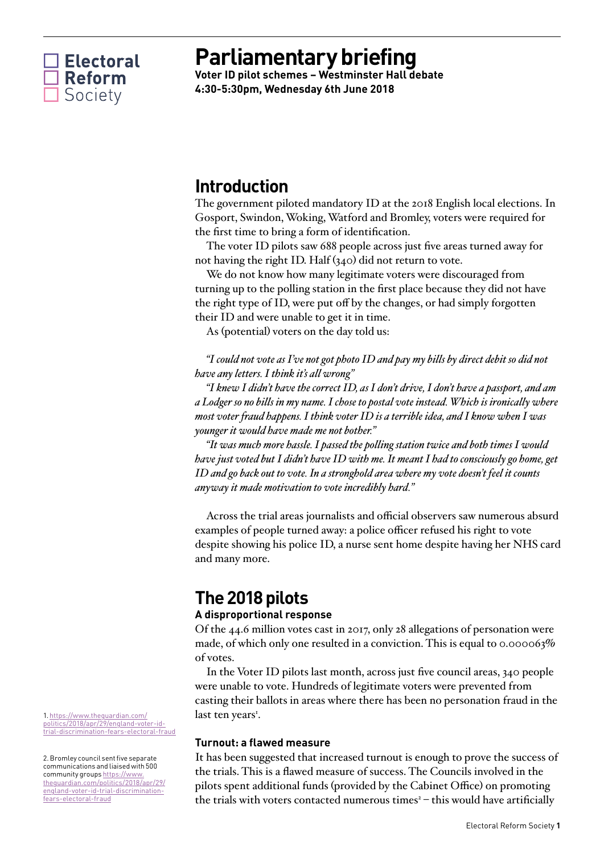

# **Parliamentary briefing**

**Voter ID pilot schemes – Westminster Hall debate 4:30-5:30pm, Wednesday 6th June 2018**

## **Introduction**

The government piloted mandatory ID at the 2018 English local elections. In Gosport, Swindon, Woking, Watford and Bromley, voters were required for the first time to bring a form of identification.

The voter ID pilots saw 688 people across just five areas turned away for not having the right ID. Half (340) did not return to vote.

We do not know how many legitimate voters were discouraged from turning up to the polling station in the first place because they did not have the right type of ID, were put off by the changes, or had simply forgotten their ID and were unable to get it in time.

As (potential) voters on the day told us:

*"I could not vote as I've not got photo ID and pay my bills by direct debit so did not have any letters. I think it's all wrong"*

*"I knew I didn't have the correct ID, as I don't drive, I don't have a passport, and am a Lodger so no bills in my name. I chose to postal vote instead. Which is ironically where most voter fraud happens. I think voter ID is a terrible idea, and I know when I was younger it would have made me not bother."*

*"It was much more hassle. I passed the polling station twice and both times I would have just voted but I didn't have ID with me. It meant I had to consciously go home, get ID and go back out to vote. In a stronghold area where my vote doesn't feel it counts anyway it made motivation to vote incredibly hard."*

Across the trial areas journalists and official observers saw numerous absurd examples of people turned away: a police officer refused his right to vote despite showing his police ID, a nurse sent home despite having her NHS card and many more.

## **The 2018 pilots**

## **A disproportional response**

Of the 44.6 million votes cast in 2017, only 28 allegations of personation were made, of which only one resulted in a conviction. This is equal to 0.000063% of votes.

In the Voter ID pilots last month, across just five council areas, 340 people were unable to vote. Hundreds of legitimate voters were prevented from casting their ballots in areas where there has been no personation fraud in the last ten years<sup>1</sup>.

## **Turnout: a flawed measure**

It has been suggested that increased turnout is enough to prove the success of the trials. This is a flawed measure of success. The Councils involved in the pilots spent additional funds (provided by the Cabinet Office) on promoting the trials with voters contacted numerous times $^{2}$  – this would have artificially

1. [https://www.theguardian.com/](https://www.theguardian.com/politics/2018/apr/29/england-voter-id-trial-discrimination-fears-electoral-fraud) [politics/2018/apr/29/england-voter-id](https://www.theguardian.com/politics/2018/apr/29/england-voter-id-trial-discrimination-fears-electoral-fraud)[trial-discrimination-fears-electoral-fraud](https://www.theguardian.com/politics/2018/apr/29/england-voter-id-trial-discrimination-fears-electoral-fraud)

2. Bromley council sent five separate communications and liaised with 500 community groups [https://www.](https://www.theguardian.com/politics/2018/apr/29/england-voter-id-trial-discrimination-fears-electoral-fraud) [theguardian.com/politics/2018/apr/29/](https://www.theguardian.com/politics/2018/apr/29/england-voter-id-trial-discrimination-fears-electoral-fraud) [england-voter-id-trial-discrimination](https://www.theguardian.com/politics/2018/apr/29/england-voter-id-trial-discrimination-fears-electoral-fraud)[fears-electoral-fraud](https://www.theguardian.com/politics/2018/apr/29/england-voter-id-trial-discrimination-fears-electoral-fraud)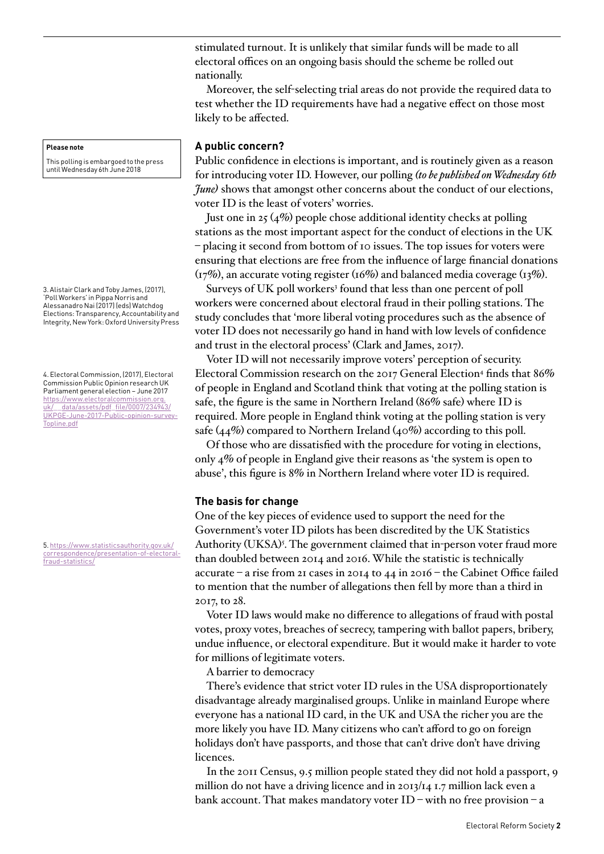stimulated turnout. It is unlikely that similar funds will be made to all electoral offices on an ongoing basis should the scheme be rolled out nationally.

Moreover, the self-selecting trial areas do not provide the required data to test whether the ID requirements have had a negative effect on those most likely to be affected.

## **A public concern?**

Public confidence in elections is important, and is routinely given as a reason for introducing voter ID. However, our polling *(to be published on Wednesday 6th June*) shows that amongst other concerns about the conduct of our elections, voter ID is the least of voters' worries.

Just one in 25  $(4\%)$  people chose additional identity checks at polling stations as the most important aspect for the conduct of elections in the UK – placing it second from bottom of 10 issues. The top issues for voters were ensuring that elections are free from the influence of large financial donations  $(\text{I7\%})$ , an accurate voting register (16%) and balanced media coverage (13%).

Surveys of UK poll workers<sup>3</sup> found that less than one percent of poll workers were concerned about electoral fraud in their polling stations. The study concludes that 'more liberal voting procedures such as the absence of voter ID does not necessarily go hand in hand with low levels of confidence and trust in the electoral process' (Clark and James, 2017).

Voter ID will not necessarily improve voters' perception of security. Electoral Commission research on the 2017 General Election<sup>4</sup> finds that  $86\%$ of people in England and Scotland think that voting at the polling station is safe, the figure is the same in Northern Ireland (86% safe) where ID is required. More people in England think voting at the polling station is very safe  $(44\%)$  compared to Northern Ireland  $(40\%)$  according to this poll.

Of those who are dissatisfied with the procedure for voting in elections, only 4% of people in England give their reasons as 'the system is open to abuse', this figure is 8% in Northern Ireland where voter ID is required.

## **The basis for change**

One of the key pieces of evidence used to support the need for the Government's voter ID pilots has been discredited by the UK Statistics Authority (UKSA)<sup>5</sup>. The government claimed that in-person voter fraud more than doubled between 2014 and 2016. While the statistic is technically accurate – a rise from 21 cases in 2014 to 44 in 2016 – the Cabinet Office failed to mention that the number of allegations then fell by more than a third in 2017, to 28.

Voter ID laws would make no difference to allegations of fraud with postal votes, proxy votes, breaches of secrecy, tampering with ballot papers, bribery, undue influence, or electoral expenditure. But it would make it harder to vote for millions of legitimate voters.

A barrier to democracy

There's evidence that strict voter ID rules in the USA disproportionately disadvantage already marginalised groups. Unlike in mainland Europe where everyone has a national ID card, in the UK and USA the richer you are the more likely you have ID. Many citizens who can't afford to go on foreign holidays don't have passports, and those that can't drive don't have driving licences.

In the 2011 Census, 9.5 million people stated they did not hold a passport, 9 million do not have a driving licence and in 2013/14 1.7 million lack even a bank account. That makes mandatory voter ID – with no free provision – a

#### **Please note**

This polling is embargoed to the press until Wednesday 6th June 2018

3. Alistair Clark and Toby James, (2017), 'Poll Workers' in Pippa Norris and Alessanadro Nai (2017) (eds) Watchdog Elections: Transparency, Accountability and Integrity, New York: Oxford University Press

4. Electoral Commission, (2017), Electoral Commission Public Opinion research UK Parliament general election – June 2017 [https://www.electoralcommission.org.](https://www.electoralcommission.org.uk/__data/assets/pdf_file/0007/234943/UKPGE-June-2017-Public-opinion-survey-Topline.pdf) uk/ data/assets/pdf file/0007/234943/ [UKPGE-June-2017-Public-opinion-survey-](https://www.electoralcommission.org.uk/__data/assets/pdf_file/0007/234943/UKPGE-June-2017-Public-opinion-survey-Topline.pdf)[Topline.pdf](https://www.electoralcommission.org.uk/__data/assets/pdf_file/0007/234943/UKPGE-June-2017-Public-opinion-survey-Topline.pdf)

5. [https://www.statisticsauthority.gov.uk/](https://www.statisticsauthority.gov.uk/correspondence/presentation-of-electoral-fraud-statistics/) [correspondence/presentation-of-electoral](https://www.statisticsauthority.gov.uk/correspondence/presentation-of-electoral-fraud-statistics/)[fraud-statistics/](https://www.statisticsauthority.gov.uk/correspondence/presentation-of-electoral-fraud-statistics/)